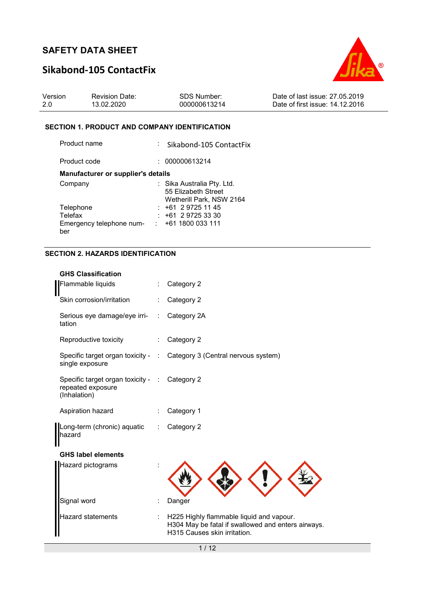# **Sikabond-105 ContactFix**



| Version | <b>Revision Date:</b> | SDS Number:  | Date of last issue: 27.05.2019  |
|---------|-----------------------|--------------|---------------------------------|
|         | 13.02.2020            | 000000613214 | Date of first issue: 14.12.2016 |

### **SECTION 1. PRODUCT AND COMPANY IDENTIFICATION**

| Product name                              | : Sikabond-105 ContactFix                                                     |
|-------------------------------------------|-------------------------------------------------------------------------------|
| Product code                              | : 000000613214                                                                |
| <b>Manufacturer or supplier's details</b> |                                                                               |
| Company                                   | : Sika Australia Pty. Ltd.<br>55 Elizabeth Street<br>Wetherill Park, NSW 2164 |
| Telephone                                 | $: +61297251145$                                                              |
| Telefax                                   | $: +61297253330$                                                              |
| Emergency telephone num-<br>ber           | : 1611800033111                                                               |

### **SECTION 2. HAZARDS IDENTIFICATION**

| <b>GHS Classification</b>                                                          |                              |                                                                                                                                |
|------------------------------------------------------------------------------------|------------------------------|--------------------------------------------------------------------------------------------------------------------------------|
| Flammable liquids                                                                  |                              | Category 2                                                                                                                     |
| Skin corrosion/irritation                                                          |                              | Category 2                                                                                                                     |
| Serious eye damage/eye irri-<br>tation                                             | $\mathcal{L}_{\mathrm{max}}$ | Category 2A                                                                                                                    |
| Reproductive toxicity                                                              | $\mathcal{L}_{\mathrm{max}}$ | Category 2                                                                                                                     |
| single exposure                                                                    |                              | Specific target organ toxicity - : Category 3 (Central nervous system)                                                         |
| Specific target organ toxicity - : Category 2<br>repeated exposure<br>(Inhalation) |                              |                                                                                                                                |
| Aspiration hazard                                                                  |                              | Category 1                                                                                                                     |
| Long-term (chronic) aquatic<br>hazard                                              | ÷                            | Category 2                                                                                                                     |
| <b>GHS label elements</b>                                                          |                              |                                                                                                                                |
| Hazard pictograms                                                                  |                              |                                                                                                                                |
| Signal word                                                                        |                              | Danger                                                                                                                         |
| <b>Hazard statements</b>                                                           |                              | H225 Highly flammable liquid and vapour.<br>H304 May be fatal if swallowed and enters airways.<br>H315 Causes skin irritation. |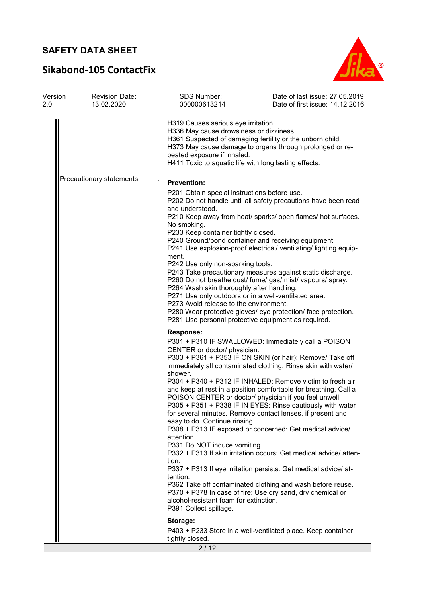# **Sikabond-105 ContactFix**



| Version<br>2.0           | <b>Revision Date:</b><br>13.02.2020 | SDS Number:<br>000000613214                                                                                                                                                                                                                                                                                                                                                                                                                                                                                                                                                                                                                                                                                                                                                                                                                                                                                                                                                                                                                                                     | Date of last issue: 27.05.2019<br>Date of first issue: 14.12.2016 |  |  |
|--------------------------|-------------------------------------|---------------------------------------------------------------------------------------------------------------------------------------------------------------------------------------------------------------------------------------------------------------------------------------------------------------------------------------------------------------------------------------------------------------------------------------------------------------------------------------------------------------------------------------------------------------------------------------------------------------------------------------------------------------------------------------------------------------------------------------------------------------------------------------------------------------------------------------------------------------------------------------------------------------------------------------------------------------------------------------------------------------------------------------------------------------------------------|-------------------------------------------------------------------|--|--|
|                          |                                     | H319 Causes serious eye irritation.<br>H336 May cause drowsiness or dizziness.<br>H361 Suspected of damaging fertility or the unborn child.<br>H373 May cause damage to organs through prolonged or re-<br>peated exposure if inhaled.<br>H411 Toxic to aquatic life with long lasting effects.                                                                                                                                                                                                                                                                                                                                                                                                                                                                                                                                                                                                                                                                                                                                                                                 |                                                                   |  |  |
| Precautionary statements |                                     | <b>Prevention:</b><br>P201 Obtain special instructions before use.<br>P202 Do not handle until all safety precautions have been read<br>and understood.<br>P210 Keep away from heat/ sparks/ open flames/ hot surfaces.<br>No smoking.<br>P233 Keep container tightly closed.<br>P240 Ground/bond container and receiving equipment.<br>P241 Use explosion-proof electrical/ ventilating/ lighting equip-<br>ment.<br>P242 Use only non-sparking tools.<br>P243 Take precautionary measures against static discharge.<br>P260 Do not breathe dust/ fume/ gas/ mist/ vapours/ spray.<br>P264 Wash skin thoroughly after handling.<br>P271 Use only outdoors or in a well-ventilated area.<br>P273 Avoid release to the environment.<br>P280 Wear protective gloves/ eye protection/ face protection.<br>P281 Use personal protective equipment as required.                                                                                                                                                                                                                      |                                                                   |  |  |
|                          |                                     | <b>Response:</b><br>P301 + P310 IF SWALLOWED: Immediately call a POISON<br>CENTER or doctor/ physician.<br>P303 + P361 + P353 IF ON SKIN (or hair): Remove/ Take off<br>immediately all contaminated clothing. Rinse skin with water/<br>shower.<br>P304 + P340 + P312 IF INHALED: Remove victim to fresh air<br>and keep at rest in a position comfortable for breathing. Call a<br>POISON CENTER or doctor/ physician if you feel unwell.<br>P305 + P351 + P338 IF IN EYES: Rinse cautiously with water<br>for several minutes. Remove contact lenses, if present and<br>easy to do. Continue rinsing.<br>P308 + P313 IF exposed or concerned: Get medical advice/<br>attention.<br>P331 Do NOT induce vomiting.<br>P332 + P313 If skin irritation occurs: Get medical advice/ atten-<br>tion.<br>P337 + P313 If eye irritation persists: Get medical advice/ at-<br>tention.<br>P362 Take off contaminated clothing and wash before reuse.<br>P370 + P378 In case of fire: Use dry sand, dry chemical or<br>alcohol-resistant foam for extinction.<br>P391 Collect spillage. |                                                                   |  |  |
|                          |                                     | Storage:<br>P403 + P233 Store in a well-ventilated place. Keep container<br>tightly closed.                                                                                                                                                                                                                                                                                                                                                                                                                                                                                                                                                                                                                                                                                                                                                                                                                                                                                                                                                                                     |                                                                   |  |  |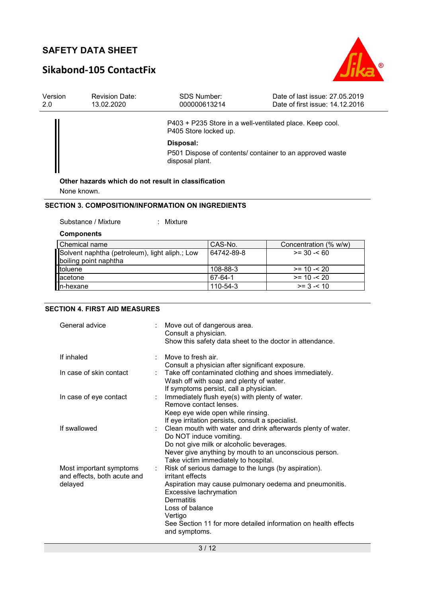# **Sikabond-105 ContactFix**



| Version<br>2.0 | <b>Revision Date:</b><br>13.02.2020 | <b>SDS Number:</b><br>000000613214                  | Date of last issue: 27.05.2019<br>Date of first issue: 14.12.2016 |
|----------------|-------------------------------------|-----------------------------------------------------|-------------------------------------------------------------------|
|                |                                     | P405 Store locked up.                               | P403 + P235 Store in a well-ventilated place. Keep cool.          |
|                |                                     | Disposal:                                           |                                                                   |
|                |                                     | disposal plant.                                     | P501 Dispose of contents/ container to an approved waste          |
|                |                                     | Other hazards which do not result in classification |                                                                   |
|                |                                     |                                                     |                                                                   |
|                | None known.                         |                                                     |                                                                   |

#### **SECTION 3. COMPOSITION/INFORMATION ON INGREDIENTS**

Substance / Mixture : Mixture :

### **Components**

| l Chemical name                                | CAS-No.    | Concentration (% w/w) |
|------------------------------------------------|------------|-----------------------|
| Solvent naphtha (petroleum), light aliph.; Low | 64742-89-8 | $>= 30 - 60$          |
| boiling point naphtha                          |            |                       |
| toluene                                        | 108-88-3   | $>= 10 - 520$         |
| lacetone                                       | 67-64-1    | $>= 10 - 520$         |
| In-hexane                                      | 110-54-3   | $>= 3 - 10$           |

### **SECTION 4. FIRST AID MEASURES**

| General advice                                                          | : Move out of dangerous area.<br>Consult a physician.<br>Show this safety data sheet to the doctor in attendance.                                                                                                                                                                           |
|-------------------------------------------------------------------------|---------------------------------------------------------------------------------------------------------------------------------------------------------------------------------------------------------------------------------------------------------------------------------------------|
| If inhaled                                                              | Move to fresh air.<br>Consult a physician after significant exposure.                                                                                                                                                                                                                       |
| In case of skin contact                                                 | Take off contaminated clothing and shoes immediately.<br>Wash off with soap and plenty of water.<br>If symptoms persist, call a physician.                                                                                                                                                  |
| In case of eye contact                                                  | : Immediately flush eye(s) with plenty of water.<br>Remove contact lenses.<br>Keep eye wide open while rinsing.<br>If eye irritation persists, consult a specialist.                                                                                                                        |
| If swallowed                                                            | : Clean mouth with water and drink afterwards plenty of water.<br>Do NOT induce vomiting.<br>Do not give milk or alcoholic beverages.<br>Never give anything by mouth to an unconscious person.<br>Take victim immediately to hospital.                                                     |
| Most important symptoms<br>÷.<br>and effects, both acute and<br>delayed | Risk of serious damage to the lungs (by aspiration).<br>irritant effects<br>Aspiration may cause pulmonary oedema and pneumonitis.<br>Excessive lachrymation<br>Dermatitis<br>Loss of balance<br>Vertigo<br>See Section 11 for more detailed information on health effects<br>and symptoms. |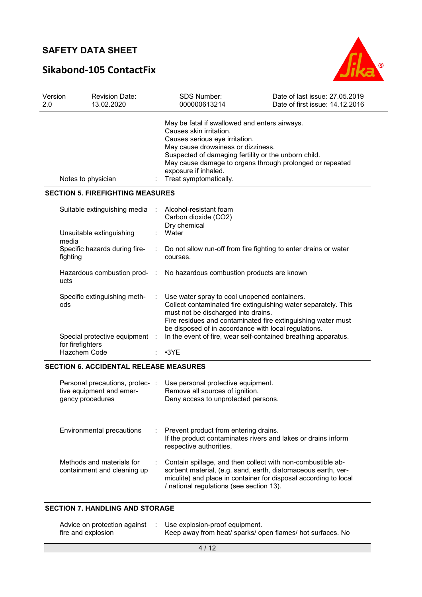# **Sikabond-105 ContactFix**



| Version<br>2.0     | 13.02.2020                                               | <b>Revision Date:</b> | <b>SDS Number:</b><br>000000613214                                                                                                                                                                                                                                                                                     | Date of last issue: 27,05,2019<br>Date of first issue: 14.12.2016 |
|--------------------|----------------------------------------------------------|-----------------------|------------------------------------------------------------------------------------------------------------------------------------------------------------------------------------------------------------------------------------------------------------------------------------------------------------------------|-------------------------------------------------------------------|
| Notes to physician |                                                          |                       | May be fatal if swallowed and enters airways.<br>Causes skin irritation.<br>Causes serious eye irritation.<br>May cause drowsiness or dizziness.<br>Suspected of damaging fertility or the unborn child.<br>May cause damage to organs through prolonged or repeated<br>exposure if inhaled.<br>Treat symptomatically. |                                                                   |
|                    | <b>SECTION 5. FIREFIGHTING MEASURES</b>                  |                       |                                                                                                                                                                                                                                                                                                                        |                                                                   |
|                    | Suitable extinguishing media<br>Unsuitable extinguishing |                       | Alcohol-resistant foam<br>Carbon dioxide (CO2)<br>Dry chemical<br>Water                                                                                                                                                                                                                                                |                                                                   |
|                    | media                                                    |                       |                                                                                                                                                                                                                                                                                                                        |                                                                   |
|                    | Specific hazards during fire-<br>fighting                |                       | Do not allow run-off from fire fighting to enter drains or water<br>courses.                                                                                                                                                                                                                                           |                                                                   |
|                    | Hazardous combustion prod- :<br>ucts                     |                       | No hazardous combustion products are known                                                                                                                                                                                                                                                                             |                                                                   |
|                    | Specific extinguishing meth-<br>ods                      |                       | Use water spray to cool unopened containers.<br>Collect contaminated fire extinguishing water separately. This<br>must not be discharged into drains.<br>Fire residues and contaminated fire extinguishing water must<br>be disposed of in accordance with local regulations.                                          |                                                                   |
|                    | Special protective equipment<br>for firefighters         |                       | In the event of fire, wear self-contained breathing apparatus.                                                                                                                                                                                                                                                         |                                                                   |
|                    | Hazchem Code                                             |                       | $\cdot$ 3YE                                                                                                                                                                                                                                                                                                            |                                                                   |

### **SECTION 6. ACCIDENTAL RELEASE MEASURES**

| Personal precautions, protec-:<br>tive equipment and emer-<br>gency procedures |    | Use personal protective equipment.<br>Remove all sources of ignition.<br>Deny access to unprotected persons.                                                                                                                                 |
|--------------------------------------------------------------------------------|----|----------------------------------------------------------------------------------------------------------------------------------------------------------------------------------------------------------------------------------------------|
| Environmental precautions                                                      | t. | Prevent product from entering drains.<br>If the product contaminates rivers and lakes or drains inform<br>respective authorities.                                                                                                            |
| Methods and materials for<br>containment and cleaning up                       |    | Contain spillage, and then collect with non-combustible ab-<br>sorbent material, (e.g. sand, earth, diatomaceous earth, ver-<br>miculite) and place in container for disposal according to local<br>/ national regulations (see section 13). |

### **SECTION 7. HANDLING AND STORAGE**

| Advice on protection against | Use explosion-proof equipment.                             |
|------------------------------|------------------------------------------------------------|
| fire and explosion           | Keep away from heat/ sparks/ open flames/ hot surfaces. No |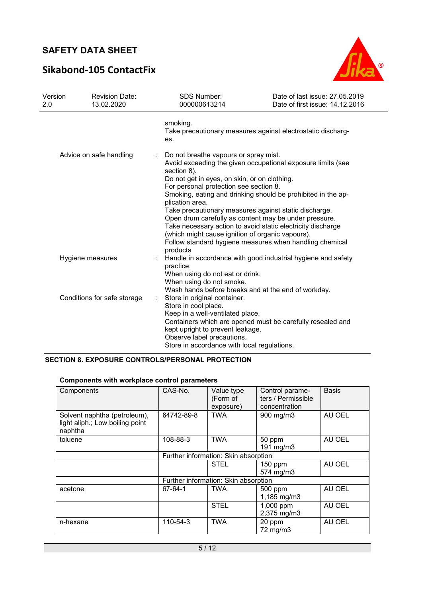# **Sikabond-105 ContactFix**



| Version<br>2.0          | <b>Revision Date:</b><br>13.02.2020 | SDS Number:<br>000000613214                                                                                                                                                                               | Date of last issue: 27.05.2019<br>Date of first issue: 14.12.2016                                                                                                                                                                                                                                                                                                                                                                                                                                                                                              |  |  |
|-------------------------|-------------------------------------|-----------------------------------------------------------------------------------------------------------------------------------------------------------------------------------------------------------|----------------------------------------------------------------------------------------------------------------------------------------------------------------------------------------------------------------------------------------------------------------------------------------------------------------------------------------------------------------------------------------------------------------------------------------------------------------------------------------------------------------------------------------------------------------|--|--|
|                         |                                     | smoking.<br>es.                                                                                                                                                                                           | Take precautionary measures against electrostatic discharg-                                                                                                                                                                                                                                                                                                                                                                                                                                                                                                    |  |  |
| Advice on safe handling |                                     | ÷<br>section 8).<br>plication area.<br>products                                                                                                                                                           | Do not breathe vapours or spray mist.<br>Avoid exceeding the given occupational exposure limits (see<br>Do not get in eyes, on skin, or on clothing.<br>For personal protection see section 8.<br>Smoking, eating and drinking should be prohibited in the ap-<br>Take precautionary measures against static discharge.<br>Open drum carefully as content may be under pressure.<br>Take necessary action to avoid static electricity discharge<br>(which might cause ignition of organic vapours).<br>Follow standard hygiene measures when handling chemical |  |  |
| Hygiene measures        |                                     | Handle in accordance with good industrial hygiene and safety<br>practice.<br>When using do not eat or drink.<br>When using do not smoke.<br>Wash hands before breaks and at the end of workday.           |                                                                                                                                                                                                                                                                                                                                                                                                                                                                                                                                                                |  |  |
|                         | Conditions for safe storage         | Store in original container.<br>Store in cool place.<br>Keep in a well-ventilated place.<br>kept upright to prevent leakage.<br>Observe label precautions.<br>Store in accordance with local regulations. | Containers which are opened must be carefully resealed and                                                                                                                                                                                                                                                                                                                                                                                                                                                                                                     |  |  |

### **SECTION 8. EXPOSURE CONTROLS/PERSONAL PROTECTION**

### **Components with workplace control parameters**

| Components                                                                 | CAS-No.    | Value type<br>(Form of<br>exposure)  | Control parame-<br>ters / Permissible<br>concentration | <b>Basis</b> |
|----------------------------------------------------------------------------|------------|--------------------------------------|--------------------------------------------------------|--------------|
| Solvent naphtha (petroleum),<br>light aliph.; Low boiling point<br>naphtha | 64742-89-8 | <b>TWA</b>                           | 900 mg/m3                                              | AU OEL       |
| toluene                                                                    | 108-88-3   | <b>TWA</b>                           | 50 ppm<br>191 mg/m3                                    | AU OEL       |
|                                                                            |            | Further information: Skin absorption |                                                        |              |
|                                                                            |            | <b>STEL</b>                          | 150 ppm<br>574 mg/m3                                   | AU OEL       |
|                                                                            |            | Further information: Skin absorption |                                                        |              |
| acetone                                                                    | 67-64-1    | <b>TWA</b>                           | 500 ppm<br>1,185 mg/m3                                 | AU OEL       |
|                                                                            |            | <b>STEL</b>                          | 1,000 ppm<br>2,375 mg/m3                               | AU OEL       |
| n-hexane                                                                   | 110-54-3   | <b>TWA</b>                           | 20 ppm<br>72 mg/m3                                     | AU OEL       |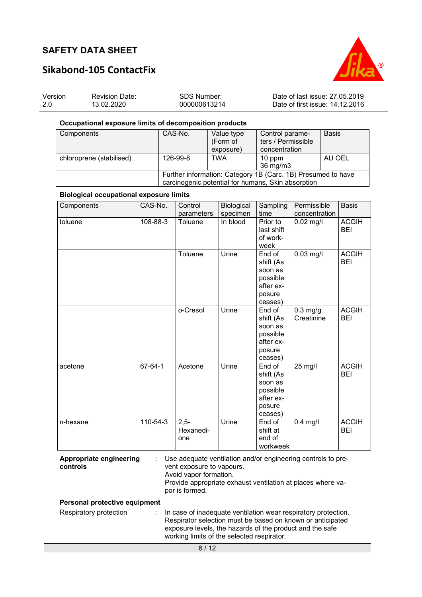



# **Sikabond-105 ContactFix**

| Version | <b>Revision Date:</b> | SDS Number:  | Date of last issue: 27.05.2019  |
|---------|-----------------------|--------------|---------------------------------|
| 2.0     | 13.02.2020            | 000000613214 | Date of first issue: 14.12.2016 |

#### **Occupational exposure limits of decomposition products**

| Components               | CAS-No.                                                      | Value type | Control parame-    | <b>Basis</b> |
|--------------------------|--------------------------------------------------------------|------------|--------------------|--------------|
|                          |                                                              | (Form of   | ters / Permissible |              |
|                          |                                                              | exposure)  | concentration      |              |
| chloroprene (stabilised) | 126-99-8                                                     | <b>TWA</b> | $10$ ppm           | AU OEL       |
|                          |                                                              |            | 36 mg/m3           |              |
|                          | Further information: Category 1B (Carc. 1B) Presumed to have |            |                    |              |
|                          | carcinogenic potential for humans, Skin absorption           |            |                    |              |

### **Biological occupational exposure limits**

| Components | CAS-No.  | Control<br>parameters      | Biological<br>specimen | Sampling<br>time                                                             | Permissible<br>concentration | <b>Basis</b>               |
|------------|----------|----------------------------|------------------------|------------------------------------------------------------------------------|------------------------------|----------------------------|
| toluene    | 108-88-3 | Toluene                    | In blood               | Prior to<br>last shift<br>of work-<br>week                                   | $0.02$ mg/l                  | <b>ACGIH</b><br><b>BEI</b> |
|            |          | Toluene                    | Urine                  | End of<br>shift (As<br>soon as<br>possible<br>after ex-<br>posure<br>ceases) | $0.03$ mg/l                  | <b>ACGIH</b><br><b>BEI</b> |
|            |          | o-Cresol                   | Urine                  | End of<br>shift (As<br>soon as<br>possible<br>after ex-<br>posure<br>ceases) | $0.3$ mg/g<br>Creatinine     | <b>ACGIH</b><br><b>BEI</b> |
| acetone    | 67-64-1  | Acetone                    | Urine                  | End of<br>shift (As<br>soon as<br>possible<br>after ex-<br>posure<br>ceases) | 25 mg/l                      | <b>ACGIH</b><br><b>BEI</b> |
| n-hexane   | 110-54-3 | $2,5-$<br>Hexanedi-<br>one | Urine                  | End of<br>shift at<br>end of<br>workweek                                     | $0.4$ mg/l                   | <b>ACGIH</b><br><b>BEI</b> |

**Appropriate engineering controls** 

: Use adequate ventilation and/or engineering controls to prevent exposure to vapours. Avoid vapor formation. Provide appropriate exhaust ventilation at places where vapor is formed.

**Personal protective equipment**

| Respiratory protection | In case of inadequate ventilation wear respiratory protection. |
|------------------------|----------------------------------------------------------------|
|                        | Respirator selection must be based on known or anticipated     |
|                        | exposure levels, the hazards of the product and the safe       |
|                        | working limits of the selected respirator.                     |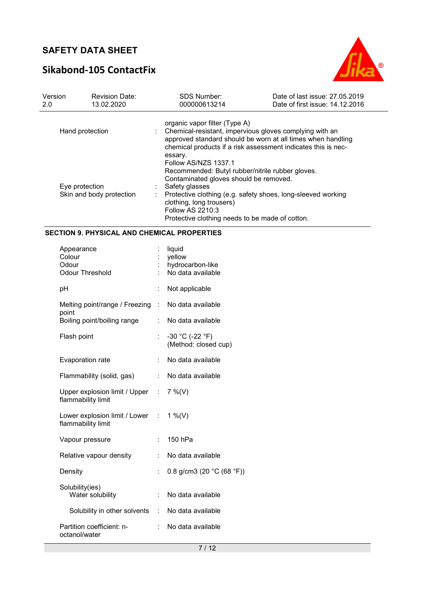# **Sikabond-105 ContactFix**



| Version<br>2.0 | <b>Revision Date:</b><br>13.02.2020 | <b>SDS Number:</b><br>000000613214              | Date of last issue: 27,05,2019<br>Date of first issue: 14.12.2016                                                                                                                       |
|----------------|-------------------------------------|-------------------------------------------------|-----------------------------------------------------------------------------------------------------------------------------------------------------------------------------------------|
|                |                                     | organic vapor filter (Type A)                   |                                                                                                                                                                                         |
|                | Hand protection                     | essary.                                         | Chemical-resistant, impervious gloves complying with an<br>approved standard should be worn at all times when handling<br>chemical products if a risk assessment indicates this is nec- |
|                |                                     | Follow AS/NZS 1337.1                            | Recommended: Butyl rubber/nitrile rubber gloves.                                                                                                                                        |
|                |                                     | Contaminated gloves should be removed.          |                                                                                                                                                                                         |
|                | Eye protection                      | Safety glasses                                  |                                                                                                                                                                                         |
|                | Skin and body protection            | clothing, long trousers)                        | Protective clothing (e.g. safety shoes, long-sleeved working                                                                                                                            |
|                |                                     | Follow AS 2210:3                                |                                                                                                                                                                                         |
|                |                                     | Protective clothing needs to be made of cotton. |                                                                                                                                                                                         |

#### **SECTION 9. PHYSICAL AND CHEMICAL PROPERTIES**

| Appearance<br>Colour<br>Odour<br>Odour Threshold      |                      | liquid<br>yellow<br>hydrocarbon-like<br>No data available |
|-------------------------------------------------------|----------------------|-----------------------------------------------------------|
| рH                                                    |                      | Not applicable                                            |
| Melting point/range / Freezing                        | ÷                    | No data available                                         |
| point<br>Boiling point/boiling range                  | ÷                    | No data available                                         |
| Flash point                                           |                      | -30 °C (-22 °F)<br>(Method: closed cup)                   |
| <b>Evaporation rate</b>                               | ÷                    | No data available                                         |
| Flammability (solid, gas)                             | ÷                    | No data available                                         |
| Upper explosion limit / Upper :<br>flammability limit |                      | $7\%$ (V)                                                 |
| Lower explosion limit / Lower :<br>flammability limit |                      | 1 %(V)                                                    |
| Vapour pressure                                       | $\ddot{\phantom{a}}$ | 150 hPa                                                   |
| Relative vapour density                               | ÷.                   | No data available                                         |
| Density                                               | $\ddot{\phantom{a}}$ | 0.8 g/cm3 (20 $°C$ (68 °F))                               |
| Solubility(ies)<br>Water solubility                   | ÷.                   | No data available                                         |
| Solubility in other solvents :                        |                      | No data available                                         |
| Partition coefficient: n-<br>octanol/water            | ÷                    | No data available                                         |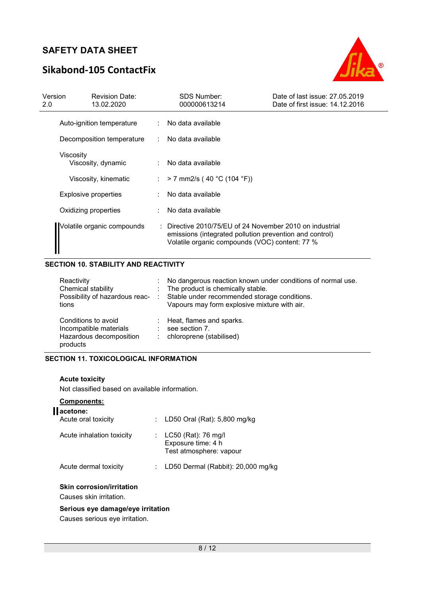# **Sikabond-105 ContactFix**



| Version<br>2.0 | <b>Revision Date:</b><br>13.02.2020 | <b>SDS Number:</b><br>000000613214                                                                                                                                    | Date of last issue: 27.05.2019<br>Date of first issue: 14.12.2016 |
|----------------|-------------------------------------|-----------------------------------------------------------------------------------------------------------------------------------------------------------------------|-------------------------------------------------------------------|
|                | Auto-ignition temperature           | : No data available                                                                                                                                                   |                                                                   |
|                | Decomposition temperature           | : No data available                                                                                                                                                   |                                                                   |
|                | Viscosity<br>Viscosity, dynamic     | No data available                                                                                                                                                     |                                                                   |
|                | Viscosity, kinematic                | : > 7 mm2/s (40 °C (104 °F))                                                                                                                                          |                                                                   |
|                | <b>Explosive properties</b>         | No data available                                                                                                                                                     |                                                                   |
|                | Oxidizing properties                | : No data available                                                                                                                                                   |                                                                   |
|                | Volatile organic compounds          | : Directive 2010/75/EU of 24 November 2010 on industrial<br>emissions (integrated pollution prevention and control)<br>Volatile organic compounds (VOC) content: 77 % |                                                                   |

### **SECTION 10. STABILITY AND REACTIVITY**

| Reactivity<br>Chemical stability<br>Possibility of hazardous reac-<br>tions          | $\sim 100$ | No dangerous reaction known under conditions of normal use.<br>: The product is chemically stable.<br>Stable under recommended storage conditions.<br>Vapours may form explosive mixture with air. |
|--------------------------------------------------------------------------------------|------------|----------------------------------------------------------------------------------------------------------------------------------------------------------------------------------------------------|
| Conditions to avoid<br>Incompatible materials<br>Hazardous decomposition<br>products | ÷<br>÷     | Heat, flames and sparks.<br>see section 7.<br>chloroprene (stabilised)                                                                                                                             |

#### **SECTION 11. TOXICOLOGICAL INFORMATION**

#### **Acute toxicity**

Not classified based on available information.

### **Components:**

| acetone:<br>Acute oral toxicity                             |    | : LD50 Oral (Rat): 5,800 mg/kg                                       |
|-------------------------------------------------------------|----|----------------------------------------------------------------------|
| Acute inhalation toxicity                                   |    | LC50 (Rat): 76 mg/l<br>Exposure time: 4 h<br>Test atmosphere: vapour |
| Acute dermal toxicity                                       | t. | LD50 Dermal (Rabbit): 20,000 mg/kg                                   |
| <b>Skin corrosion/irritation</b><br>Causes skin irritation. |    |                                                                      |

### **Serious eye damage/eye irritation**

Causes serious eye irritation.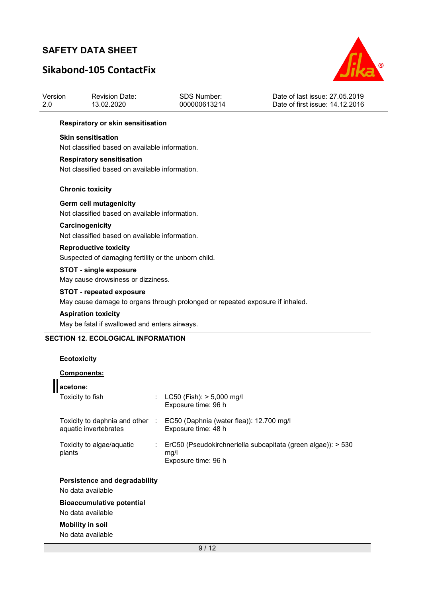Version 2.0

# **Sikabond-105 ContactFix**

Revision Date: 13.02.2020



Date of last issue: 27.05.2019

| 2.0 | 13.02.2020                                                                           | 000000613214                                                                  | Date of first issue: 14.12.2016 |
|-----|--------------------------------------------------------------------------------------|-------------------------------------------------------------------------------|---------------------------------|
|     | <b>Respiratory or skin sensitisation</b>                                             |                                                                               |                                 |
|     | <b>Skin sensitisation</b><br>Not classified based on available information.          |                                                                               |                                 |
|     | <b>Respiratory sensitisation</b><br>Not classified based on available information.   |                                                                               |                                 |
|     | <b>Chronic toxicity</b>                                                              |                                                                               |                                 |
|     | Germ cell mutagenicity<br>Not classified based on available information.             |                                                                               |                                 |
|     | Carcinogenicity<br>Not classified based on available information.                    |                                                                               |                                 |
|     | <b>Reproductive toxicity</b><br>Suspected of damaging fertility or the unborn child. |                                                                               |                                 |
|     | <b>STOT - single exposure</b><br>May cause drowsiness or dizziness.                  |                                                                               |                                 |
|     | <b>STOT - repeated exposure</b>                                                      | May cause damage to organs through prolonged or repeated exposure if inhaled. |                                 |

SDS Number: 000000613214

#### **Aspiration toxicity**

May be fatal if swallowed and enters airways.

### **SECTION 12. ECOLOGICAL INFORMATION**

### **Ecotoxicity**

### **Components:**

| acetone:                                                 |    |                                                                                             |
|----------------------------------------------------------|----|---------------------------------------------------------------------------------------------|
| Toxicity to fish                                         |    | : $LC50$ (Fish): $> 5,000$ mg/l<br>Exposure time: 96 h                                      |
| Toxicity to daphnia and other :<br>aquatic invertebrates |    | EC50 (Daphnia (water flea)): 12.700 mg/l<br>Exposure time: 48 h                             |
| Toxicity to algae/aquatic<br>plants                      | t. | ErC50 (Pseudokirchneriella subcapitata (green algae)): > 530<br>mq/l<br>Exposure time: 96 h |
| Persistence and degradability                            |    |                                                                                             |
| No data available                                        |    |                                                                                             |
| <b>Bioaccumulative potential</b><br>No data available    |    |                                                                                             |
| <b>Mobility in soil</b>                                  |    |                                                                                             |
| No data available                                        |    |                                                                                             |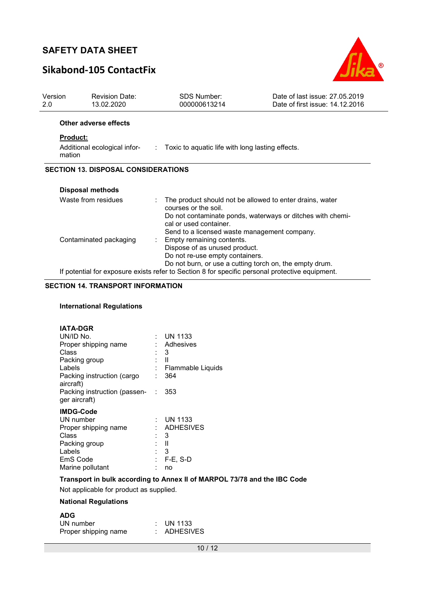# **Sikabond-105 ContactFix**



| Version | <b>Revision Date:</b>                                                                           | <b>SDS Number:</b>                                               | Date of last issue: 27.05.2019                             |  |  |  |
|---------|-------------------------------------------------------------------------------------------------|------------------------------------------------------------------|------------------------------------------------------------|--|--|--|
| 2.0     | 13.02.2020                                                                                      | 000000613214                                                     | Date of first issue: 14.12.2016                            |  |  |  |
|         | Other adverse effects                                                                           |                                                                  |                                                            |  |  |  |
|         | <b>Product:</b>                                                                                 |                                                                  |                                                            |  |  |  |
|         | Additional ecological infor-<br>mation                                                          | : Toxic to aquatic life with long lasting effects.               |                                                            |  |  |  |
|         | <b>SECTION 13. DISPOSAL CONSIDERATIONS</b>                                                      |                                                                  |                                                            |  |  |  |
|         |                                                                                                 |                                                                  |                                                            |  |  |  |
|         | Disposal methods                                                                                |                                                                  |                                                            |  |  |  |
|         | Waste from residues                                                                             | courses or the soil.                                             | The product should not be allowed to enter drains, water   |  |  |  |
|         |                                                                                                 | cal or used container.                                           | Do not contaminate ponds, waterways or ditches with chemi- |  |  |  |
|         |                                                                                                 | Send to a licensed waste management company.                     |                                                            |  |  |  |
|         | Contaminated packaging                                                                          | Empty remaining contents.                                        |                                                            |  |  |  |
|         |                                                                                                 | Dispose of as unused product.<br>Do not re-use empty containers. |                                                            |  |  |  |
|         |                                                                                                 |                                                                  | Do not burn, or use a cutting torch on, the empty drum.    |  |  |  |
|         | If potential for exposure exists refer to Section 8 for specific personal protective equipment. |                                                                  |                                                            |  |  |  |

### **SECTION 14. TRANSPORT INFORMATION**

### **International Regulations**

| <b>IATA-DGR</b>                                     |                   |
|-----------------------------------------------------|-------------------|
| UN/ID No.                                           | : UN 1133         |
| Proper shipping name                                | : Adhesives       |
| Class                                               | - 3               |
| Packing group                                       | - 11              |
| Labels                                              | Flammable Liquids |
| Packing instruction (cargo<br>aircraft)             | 364               |
| Packing instruction (passen- : 353<br>ger aircraft) |                   |
| <b>IMDG-Code</b>                                    |                   |
| UN number                                           | : UN 1133         |
| Proper shipping name                                | : ADHESIVES       |
| Class                                               | 3                 |
| Packing group                                       | Ш                 |
| Labels                                              | 3                 |
| EmS Code                                            | $F-E$ , S-D       |
| Marine pollutant                                    | no                |
|                                                     |                   |

### **Transport in bulk according to Annex II of MARPOL 73/78 and the IBC Code**

Not applicable for product as supplied.

### **National Regulations**

| <b>ADG</b>           |                      |
|----------------------|----------------------|
| UN number            | $\therefore$ UN 1133 |
| Proper shipping name | : ADHESIVES          |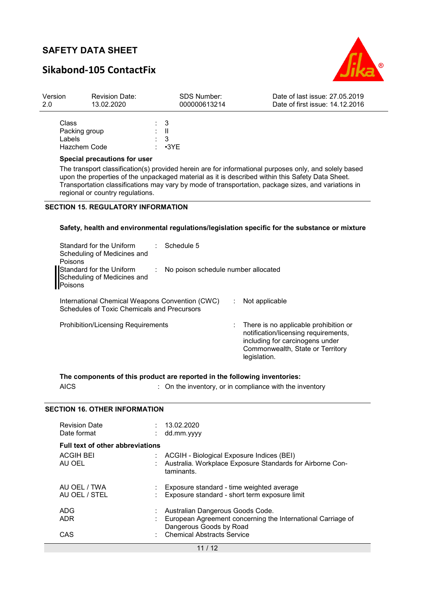# **Sikabond-105 ContactFix**



| Version<br>2.0               | <b>Revision Date:</b><br>13.02.2020 |  | <b>SDS Number:</b><br>000000613214                 | Date of last issue: 27.05.2019<br>Date of first issue: 14.12.2016                                     |
|------------------------------|-------------------------------------|--|----------------------------------------------------|-------------------------------------------------------------------------------------------------------|
| Class<br>Labels.             | Packing group<br>Hazchem Code       |  | $\therefore$ 3<br>: II<br>$\therefore$ 3<br>∶ •3YE |                                                                                                       |
| Special precautions for user |                                     |  |                                                    | The transport classification(s) provided berein are for informational purposes only, and solely based |

tion(s) provided herein are for informational p upon the properties of the unpackaged material as it is described within this Safety Data Sheet. Transportation classifications may vary by mode of transportation, package sizes, and variations in regional or country regulations.

### **SECTION 15. REGULATORY INFORMATION**

#### **Safety, health and environmental regulations/legislation specific for the substance or mixture**

| Standard for the Uniform<br>Scheduling of Medicines and<br>Poisons<br>Standard for the Uniform<br>Scheduling of Medicines and<br>Poisons | $\therefore$ Schedule 5<br>: No poison schedule number allocated |  |                                                                                                                                                                      |
|------------------------------------------------------------------------------------------------------------------------------------------|------------------------------------------------------------------|--|----------------------------------------------------------------------------------------------------------------------------------------------------------------------|
| International Chemical Weapons Convention (CWC)<br>Schedules of Toxic Chemicals and Precursors                                           |                                                                  |  | Not applicable                                                                                                                                                       |
| <b>Prohibition/Licensing Requirements</b>                                                                                                |                                                                  |  | There is no applicable prohibition or<br>notification/licensing requirements,<br>including for carcinogens under<br>Commonwealth, State or Territory<br>legislation. |

**The components of this product are reported in the following inventories:** 

AICS **Subseted State in the inventory**, or in compliance with the inventory

### **SECTION 16. OTHER INFORMATION**

| <b>Revision Date</b><br>Date format                                   | 13.02.2020<br>dd.mm.yyyy                                                                               |
|-----------------------------------------------------------------------|--------------------------------------------------------------------------------------------------------|
| <b>Full text of other abbreviations</b><br><b>ACGIH BEI</b><br>AU OEL | ACGIH - Biological Exposure Indices (BEI)<br>Australia. Workplace Exposure Standards for Airborne Con- |
| AU OEL / TWA                                                          | taminants.<br>Exposure standard - time weighted average                                                |
| AU OEL / STEL<br><b>ADG</b>                                           | Exposure standard - short term exposure limit<br>Australian Dangerous Goods Code.                      |
| ADR                                                                   | European Agreement concerning the International Carriage of<br>Dangerous Goods by Road                 |
| CAS                                                                   | <b>Chemical Abstracts Service</b>                                                                      |